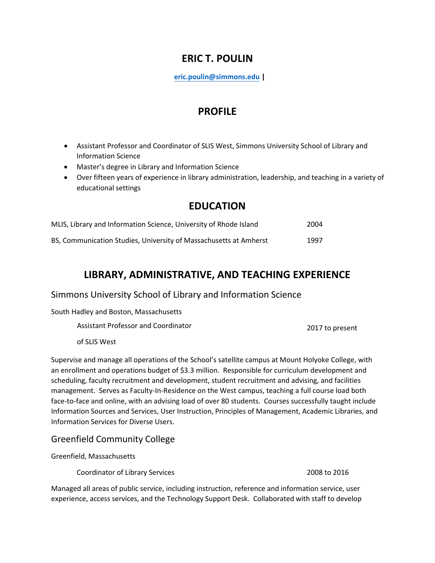## **ERIC T. POULIN**

**eric.poulin@simmons.edu |** 

### **PROFILE**

- Assistant Professor and Coordinator of SLIS West, Simmons University School of Library and Information Science
- Master's degree in Library and Information Science
- Over fifteen years of experience in library administration, leadership, and teaching in a variety of educational settings

### **EDUCATION**

| MLIS, Library and Information Science, University of Rhode Island | 2004 |
|-------------------------------------------------------------------|------|
| BS, Communication Studies, University of Massachusetts at Amherst | 1997 |

### **LIBRARY, ADMINISTRATIVE, AND TEACHING EXPERIENCE**

### Simmons University School of Library and Information Science

South Hadley and Boston, Massachusetts

| Assistant Professor and Coordinator | 2017 to present |
|-------------------------------------|-----------------|
|-------------------------------------|-----------------|

of SLIS West

Supervise and manage all operations of the School's satellite campus at Mount Holyoke College, with an enrollment and operations budget of \$3.3 million. Responsible for curriculum development and scheduling, faculty recruitment and development, student recruitment and advising, and facilities management. Serves as Faculty-In-Residence on the West campus, teaching a full course load both face-to-face and online, with an advising load of over 80 students. Courses successfully taught include Information Sources and Services, User Instruction, Principles of Management, Academic Libraries, and Information Services for Diverse Users.

#### Greenfield Community College

Greenfield, Massachusetts

Coordinator of Library Services 2008 to 2016

Managed all areas of public service, including instruction, reference and information service, user experience, access services, and the Technology Support Desk. Collaborated with staff to develop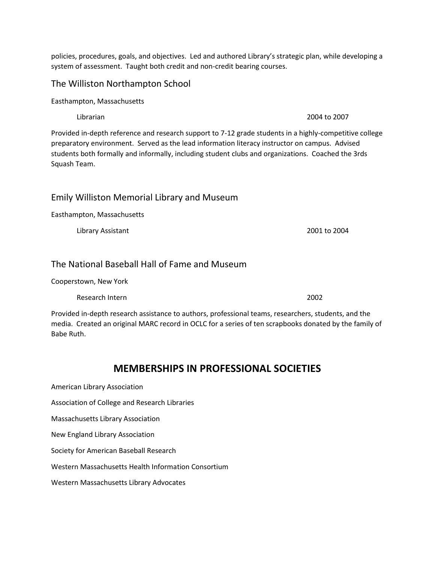policies, procedures, goals, and objectives. Led and authored Library's strategic plan, while developing a system of assessment. Taught both credit and non-credit bearing courses.

### The Williston Northampton School

Easthampton, Massachusetts

Provided in-depth reference and research support to 7-12 grade students in a highly-competitive college preparatory environment. Served as the lead information literacy instructor on campus. Advised students both formally and informally, including student clubs and organizations. Coached the 3rds Squash Team.

#### Emily Williston Memorial Library and Museum

Easthampton, Massachusetts

Library Assistant 2001 to 2004

#### The National Baseball Hall of Fame and Museum

Cooperstown, New York

Research Intern 2002

Provided in-depth research assistance to authors, professional teams, researchers, students, and the media. Created an original MARC record in OCLC for a series of ten scrapbooks donated by the family of Babe Ruth.

### **MEMBERSHIPS IN PROFESSIONAL SOCIETIES**

American Library Association

Association of College and Research Libraries

Massachusetts Library Association

New England Library Association

Society for American Baseball Research

Western Massachusetts Health Information Consortium

Western Massachusetts Library Advocates

Librarian 2004 to 2007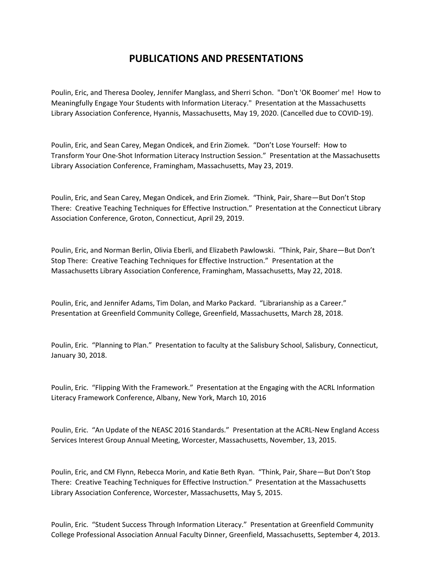## **PUBLICATIONS AND PRESENTATIONS**

Poulin, Eric, and Theresa Dooley, Jennifer Manglass, and Sherri Schon. "Don't 'OK Boomer' me! How to Meaningfully Engage Your Students with Information Literacy." Presentation at the Massachusetts Library Association Conference, Hyannis, Massachusetts, May 19, 2020. (Cancelled due to COVID-19).

Poulin, Eric, and Sean Carey, Megan Ondicek, and Erin Ziomek. "Don't Lose Yourself: How to Transform Your One-Shot Information Literacy Instruction Session." Presentation at the Massachusetts Library Association Conference, Framingham, Massachusetts, May 23, 2019.

Poulin, Eric, and Sean Carey, Megan Ondicek, and Erin Ziomek. "Think, Pair, Share—But Don't Stop There: Creative Teaching Techniques for Effective Instruction." Presentation at the Connecticut Library Association Conference, Groton, Connecticut, April 29, 2019.

Poulin, Eric, and Norman Berlin, Olivia Eberli, and Elizabeth Pawlowski. "Think, Pair, Share—But Don't Stop There: Creative Teaching Techniques for Effective Instruction." Presentation at the Massachusetts Library Association Conference, Framingham, Massachusetts, May 22, 2018.

Poulin, Eric, and Jennifer Adams, Tim Dolan, and Marko Packard. "Librarianship as a Career." Presentation at Greenfield Community College, Greenfield, Massachusetts, March 28, 2018.

Poulin, Eric. "Planning to Plan." Presentation to faculty at the Salisbury School, Salisbury, Connecticut, January 30, 2018.

Poulin, Eric. "Flipping With the Framework." Presentation at the Engaging with the ACRL Information Literacy Framework Conference, Albany, New York, March 10, 2016

Poulin, Eric. "An Update of the NEASC 2016 Standards." Presentation at the ACRL-New England Access Services Interest Group Annual Meeting, Worcester, Massachusetts, November, 13, 2015.

Poulin, Eric, and CM Flynn, Rebecca Morin, and Katie Beth Ryan. "Think, Pair, Share—But Don't Stop There: Creative Teaching Techniques for Effective Instruction." Presentation at the Massachusetts Library Association Conference, Worcester, Massachusetts, May 5, 2015.

Poulin, Eric. "Student Success Through Information Literacy." Presentation at Greenfield Community College Professional Association Annual Faculty Dinner, Greenfield, Massachusetts, September 4, 2013.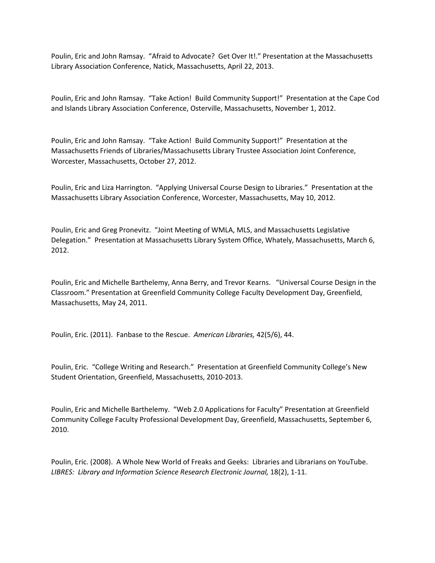Poulin, Eric and John Ramsay. "Afraid to Advocate? Get Over It!." Presentation at the Massachusetts Library Association Conference, Natick, Massachusetts, April 22, 2013.

Poulin, Eric and John Ramsay. "Take Action! Build Community Support!" Presentation at the Cape Cod and Islands Library Association Conference, Osterville, Massachusetts, November 1, 2012.

Poulin, Eric and John Ramsay. "Take Action! Build Community Support!" Presentation at the Massachusetts Friends of Libraries/Massachusetts Library Trustee Association Joint Conference, Worcester, Massachusetts, October 27, 2012.

Poulin, Eric and Liza Harrington. "Applying Universal Course Design to Libraries." Presentation at the Massachusetts Library Association Conference, Worcester, Massachusetts, May 10, 2012.

Poulin, Eric and Greg Pronevitz. "Joint Meeting of WMLA, MLS, and Massachusetts Legislative Delegation." Presentation at Massachusetts Library System Office, Whately, Massachusetts, March 6, 2012.

Poulin, Eric and Michelle Barthelemy, Anna Berry, and Trevor Kearns. "Universal Course Design in the Classroom." Presentation at Greenfield Community College Faculty Development Day, Greenfield, Massachusetts, May 24, 2011.

Poulin, Eric. (2011). Fanbase to the Rescue. *American Libraries,* 42(5/6), 44.

Poulin, Eric. "College Writing and Research." Presentation at Greenfield Community College's New Student Orientation, Greenfield, Massachusetts, 2010-2013.

Poulin, Eric and Michelle Barthelemy. "Web 2.0 Applications for Faculty" Presentation at Greenfield Community College Faculty Professional Development Day, Greenfield, Massachusetts, September 6, 2010.

Poulin, Eric. (2008). A Whole New World of Freaks and Geeks: Libraries and Librarians on YouTube. *LIBRES: Library and Information Science Research Electronic Journal,* 18(2), 1-11.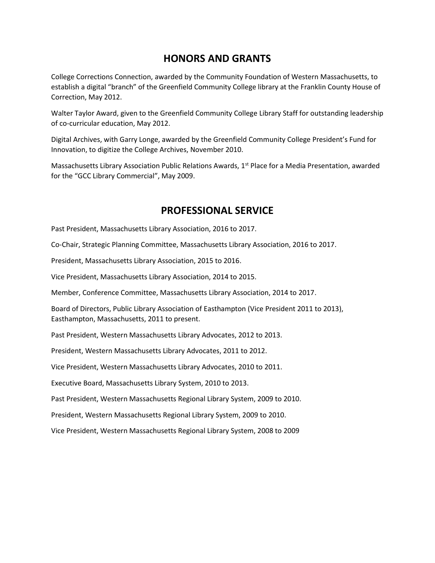# **HONORS AND GRANTS**

College Corrections Connection, awarded by the Community Foundation of Western Massachusetts, to establish a digital "branch" of the Greenfield Community College library at the Franklin County House of Correction, May 2012.

Walter Taylor Award, given to the Greenfield Community College Library Staff for outstanding leadership of co-curricular education, May 2012.

Digital Archives, with Garry Longe, awarded by the Greenfield Community College President's Fund for Innovation, to digitize the College Archives, November 2010.

Massachusetts Library Association Public Relations Awards, 1<sup>st</sup> Place for a Media Presentation, awarded for the "GCC Library Commercial", May 2009.

### **PROFESSIONAL SERVICE**

Past President, Massachusetts Library Association, 2016 to 2017.

Co-Chair, Strategic Planning Committee, Massachusetts Library Association, 2016 to 2017.

President, Massachusetts Library Association, 2015 to 2016.

Vice President, Massachusetts Library Association, 2014 to 2015.

Member, Conference Committee, Massachusetts Library Association, 2014 to 2017.

Board of Directors, Public Library Association of Easthampton (Vice President 2011 to 2013), Easthampton, Massachusetts, 2011 to present.

Past President, Western Massachusetts Library Advocates, 2012 to 2013.

President, Western Massachusetts Library Advocates, 2011 to 2012.

Vice President, Western Massachusetts Library Advocates, 2010 to 2011.

Executive Board, Massachusetts Library System, 2010 to 2013.

Past President, Western Massachusetts Regional Library System, 2009 to 2010.

President, Western Massachusetts Regional Library System, 2009 to 2010.

Vice President, Western Massachusetts Regional Library System, 2008 to 2009